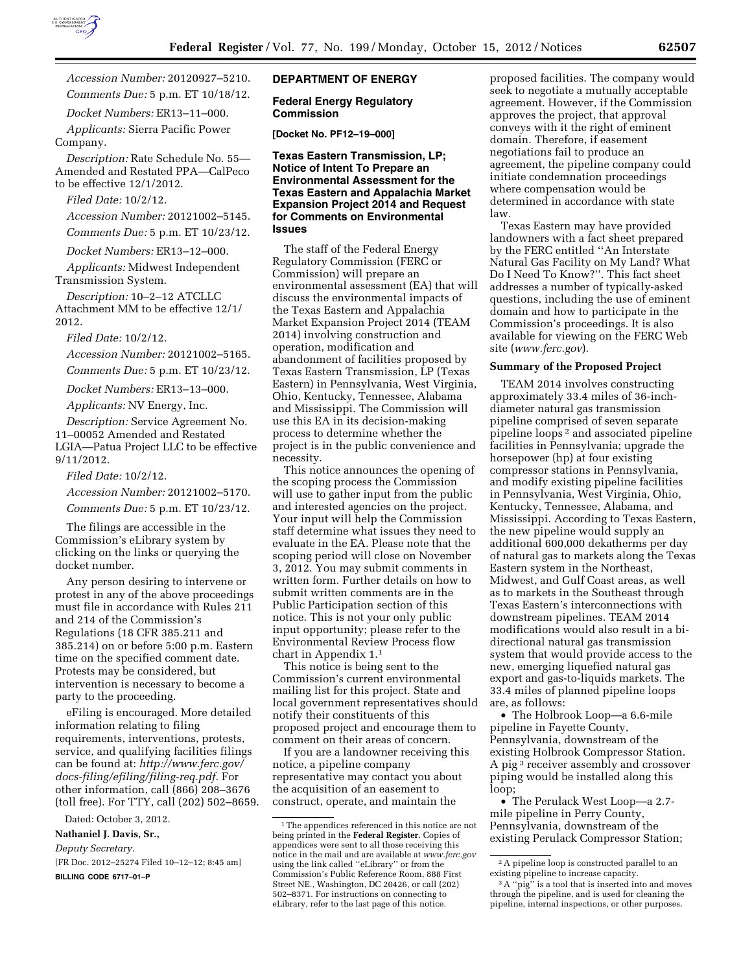

*Accession Number:* 20120927–5210. *Comments Due:* 5 p.m. ET 10/18/12.

*Docket Numbers:* ER13–11–000.

*Applicants:* Sierra Pacific Power Company.

*Description:* Rate Schedule No. 55— Amended and Restated PPA—CalPeco to be effective 12/1/2012.

*Filed Date:* 10/2/12.

*Accession Number:* 20121002–5145.

*Comments Due:* 5 p.m. ET 10/23/12.

*Docket Numbers:* ER13–12–000.

*Applicants:* Midwest Independent Transmission System.

*Description:* 10–2–12 ATCLLC Attachment MM to be effective 12/1/ 2012.

*Filed Date:* 10/2/12.

*Accession Number:* 20121002–5165.

*Comments Due:* 5 p.m. ET 10/23/12.

*Docket Numbers:* ER13–13–000.

*Applicants:* NV Energy, Inc.

*Description:* Service Agreement No. 11–00052 Amended and Restated LGIA—Patua Project LLC to be effective 9/11/2012.

*Filed Date:* 10/2/12.

*Accession Number:* 20121002–5170.

*Comments Due:* 5 p.m. ET 10/23/12.

The filings are accessible in the Commission's eLibrary system by clicking on the links or querying the docket number.

Any person desiring to intervene or protest in any of the above proceedings must file in accordance with Rules 211 and 214 of the Commission's Regulations (18 CFR 385.211 and 385.214) on or before 5:00 p.m. Eastern time on the specified comment date. Protests may be considered, but intervention is necessary to become a party to the proceeding.

eFiling is encouraged. More detailed information relating to filing requirements, interventions, protests, service, and qualifying facilities filings can be found at: *[http://www.ferc.gov/](http://www.ferc.gov/docs-filing/efiling/filing-req.pdf)  [docs-filing/efiling/filing-req.pdf.](http://www.ferc.gov/docs-filing/efiling/filing-req.pdf)* For other information, call (866) 208–3676 (toll free). For TTY, call (202) 502–8659.

Dated: October 3, 2012.

### **Nathaniel J. Davis, Sr.,**

*Deputy Secretary.* 

[FR Doc. 2012–25274 Filed 10–12–12; 8:45 am]

**BILLING CODE 6717–01–P** 

## **DEPARTMENT OF ENERGY**

### **Federal Energy Regulatory Commission**

**[Docket No. PF12–19–000]** 

**Texas Eastern Transmission, LP; Notice of Intent To Prepare an Environmental Assessment for the Texas Eastern and Appalachia Market Expansion Project 2014 and Request for Comments on Environmental Issues** 

The staff of the Federal Energy Regulatory Commission (FERC or Commission) will prepare an environmental assessment (EA) that will discuss the environmental impacts of the Texas Eastern and Appalachia Market Expansion Project 2014 (TEAM 2014) involving construction and operation, modification and abandonment of facilities proposed by Texas Eastern Transmission, LP (Texas Eastern) in Pennsylvania, West Virginia, Ohio, Kentucky, Tennessee, Alabama and Mississippi. The Commission will use this EA in its decision-making process to determine whether the project is in the public convenience and necessity.

This notice announces the opening of the scoping process the Commission will use to gather input from the public and interested agencies on the project. Your input will help the Commission staff determine what issues they need to evaluate in the EA. Please note that the scoping period will close on November 3, 2012. You may submit comments in written form. Further details on how to submit written comments are in the Public Participation section of this notice. This is not your only public input opportunity; please refer to the Environmental Review Process flow chart in Appendix 1.1

This notice is being sent to the Commission's current environmental mailing list for this project. State and local government representatives should notify their constituents of this proposed project and encourage them to comment on their areas of concern.

If you are a landowner receiving this notice, a pipeline company representative may contact you about the acquisition of an easement to construct, operate, and maintain the

proposed facilities. The company would seek to negotiate a mutually acceptable agreement. However, if the Commission approves the project, that approval conveys with it the right of eminent domain. Therefore, if easement negotiations fail to produce an agreement, the pipeline company could initiate condemnation proceedings where compensation would be determined in accordance with state law.

Texas Eastern may have provided landowners with a fact sheet prepared by the FERC entitled ''An Interstate Natural Gas Facility on My Land? What Do I Need To Know?''. This fact sheet addresses a number of typically-asked questions, including the use of eminent domain and how to participate in the Commission's proceedings. It is also available for viewing on the FERC Web site (*[www.ferc.gov](http://www.ferc.gov)*).

#### **Summary of the Proposed Project**

TEAM 2014 involves constructing approximately 33.4 miles of 36-inchdiameter natural gas transmission pipeline comprised of seven separate pipeline loops 2 and associated pipeline facilities in Pennsylvania; upgrade the horsepower (hp) at four existing compressor stations in Pennsylvania, and modify existing pipeline facilities in Pennsylvania, West Virginia, Ohio, Kentucky, Tennessee, Alabama, and Mississippi. According to Texas Eastern, the new pipeline would supply an additional 600,000 dekatherms per day of natural gas to markets along the Texas Eastern system in the Northeast, Midwest, and Gulf Coast areas, as well as to markets in the Southeast through Texas Eastern's interconnections with downstream pipelines. TEAM 2014 modifications would also result in a bidirectional natural gas transmission system that would provide access to the new, emerging liquefied natural gas export and gas-to-liquids markets. The 33.4 miles of planned pipeline loops are, as follows:

• The Holbrook Loop—a 6.6-mile pipeline in Fayette County, Pennsylvania, downstream of the existing Holbrook Compressor Station. A pig 3 receiver assembly and crossover piping would be installed along this loop;

• The Perulack West Loop—a 2.7 mile pipeline in Perry County, Pennsylvania, downstream of the existing Perulack Compressor Station;

<sup>&</sup>lt;sup>1</sup>The appendices referenced in this notice are not being printed in the **Federal Register**. Copies of appendices were sent to all those receiving this notice in the mail and are available at *[www.ferc.gov](http://www.ferc.gov)*  using the link called ''eLibrary'' or from the Commission's Public Reference Room, 888 First Street NE., Washington, DC 20426, or call (202) 502–8371. For instructions on connecting to eLibrary, refer to the last page of this notice.

<sup>2</sup>A pipeline loop is constructed parallel to an existing pipeline to increase capacity.

<sup>&</sup>lt;sup>3</sup>A "pig" is a tool that is inserted into and moves through the pipeline, and is used for cleaning the pipeline, internal inspections, or other purposes.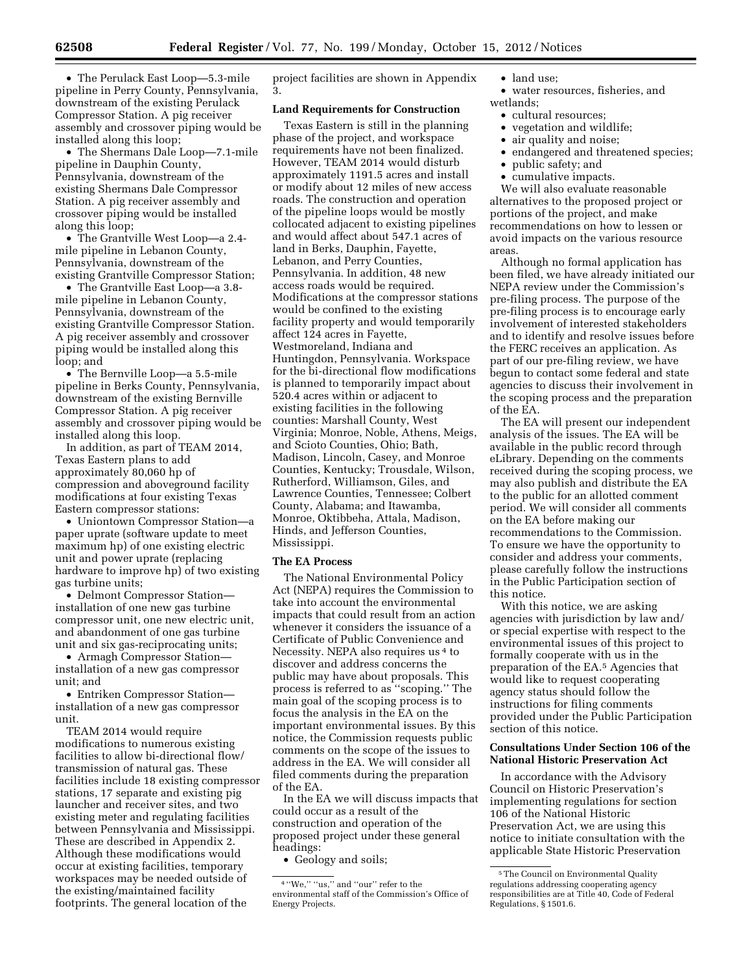• The Perulack East Loop—5.3-mile pipeline in Perry County, Pennsylvania, downstream of the existing Perulack Compressor Station. A pig receiver assembly and crossover piping would be installed along this loop;

• The Shermans Dale Loop—7.1-mile pipeline in Dauphin County, Pennsylvania, downstream of the existing Shermans Dale Compressor Station. A pig receiver assembly and crossover piping would be installed along this loop;

• The Grantville West Loop—a 2.4 mile pipeline in Lebanon County, Pennsylvania, downstream of the existing Grantville Compressor Station;

• The Grantville East Loop—a 3.8 mile pipeline in Lebanon County, Pennsylvania, downstream of the existing Grantville Compressor Station. A pig receiver assembly and crossover piping would be installed along this loop; and

• The Bernville Loop—a 5.5-mile pipeline in Berks County, Pennsylvania, downstream of the existing Bernville Compressor Station. A pig receiver assembly and crossover piping would be installed along this loop.

In addition, as part of TEAM 2014, Texas Eastern plans to add approximately 80,060 hp of compression and aboveground facility modifications at four existing Texas Eastern compressor stations:

• Uniontown Compressor Station—a paper uprate (software update to meet maximum hp) of one existing electric unit and power uprate (replacing hardware to improve hp) of two existing gas turbine units;

• Delmont Compressor Station installation of one new gas turbine compressor unit, one new electric unit, and abandonment of one gas turbine unit and six gas-reciprocating units;

• Armagh Compressor Station installation of a new gas compressor unit; and

• Entriken Compressor Station installation of a new gas compressor unit.

TEAM 2014 would require modifications to numerous existing facilities to allow bi-directional flow/ transmission of natural gas. These facilities include 18 existing compressor stations, 17 separate and existing pig launcher and receiver sites, and two existing meter and regulating facilities between Pennsylvania and Mississippi. These are described in Appendix 2. Although these modifications would occur at existing facilities, temporary workspaces may be needed outside of the existing/maintained facility footprints. The general location of the

project facilities are shown in Appendix 3.

## **Land Requirements for Construction**

Texas Eastern is still in the planning phase of the project, and workspace requirements have not been finalized. However, TEAM 2014 would disturb approximately 1191.5 acres and install or modify about 12 miles of new access roads. The construction and operation of the pipeline loops would be mostly collocated adjacent to existing pipelines and would affect about 547.1 acres of land in Berks, Dauphin, Fayette, Lebanon, and Perry Counties, Pennsylvania. In addition, 48 new access roads would be required. Modifications at the compressor stations would be confined to the existing facility property and would temporarily affect 124 acres in Fayette, Westmoreland, Indiana and Huntingdon, Pennsylvania. Workspace for the bi-directional flow modifications is planned to temporarily impact about 520.4 acres within or adjacent to existing facilities in the following counties: Marshall County, West Virginia; Monroe, Noble, Athens, Meigs, and Scioto Counties, Ohio; Bath, Madison, Lincoln, Casey, and Monroe Counties, Kentucky; Trousdale, Wilson, Rutherford, Williamson, Giles, and Lawrence Counties, Tennessee; Colbert County, Alabama; and Itawamba, Monroe, Oktibbeha, Attala, Madison, Hinds, and Jefferson Counties, Mississippi.

### **The EA Process**

The National Environmental Policy Act (NEPA) requires the Commission to take into account the environmental impacts that could result from an action whenever it considers the issuance of a Certificate of Public Convenience and Necessity. NEPA also requires us 4 to discover and address concerns the public may have about proposals. This process is referred to as ''scoping.'' The main goal of the scoping process is to focus the analysis in the EA on the important environmental issues. By this notice, the Commission requests public comments on the scope of the issues to address in the EA. We will consider all filed comments during the preparation of the EA.

In the EA we will discuss impacts that could occur as a result of the construction and operation of the proposed project under these general headings:

• Geology and soils;

• land use;

• water resources, fisheries, and wetlands;

- cultural resources;
- vegetation and wildlife;
- air quality and noise;
- endangered and threatened species;
- public safety; and
- cumulative impacts.

We will also evaluate reasonable alternatives to the proposed project or portions of the project, and make recommendations on how to lessen or avoid impacts on the various resource areas.

Although no formal application has been filed, we have already initiated our NEPA review under the Commission's pre-filing process. The purpose of the pre-filing process is to encourage early involvement of interested stakeholders and to identify and resolve issues before the FERC receives an application. As part of our pre-filing review, we have begun to contact some federal and state agencies to discuss their involvement in the scoping process and the preparation of the EA.

The EA will present our independent analysis of the issues. The EA will be available in the public record through eLibrary. Depending on the comments received during the scoping process, we may also publish and distribute the EA to the public for an allotted comment period. We will consider all comments on the EA before making our recommendations to the Commission. To ensure we have the opportunity to consider and address your comments, please carefully follow the instructions in the Public Participation section of this notice.

With this notice, we are asking agencies with jurisdiction by law and/ or special expertise with respect to the environmental issues of this project to formally cooperate with us in the preparation of the EA.5 Agencies that would like to request cooperating agency status should follow the instructions for filing comments provided under the Public Participation section of this notice.

## **Consultations Under Section 106 of the National Historic Preservation Act**

In accordance with the Advisory Council on Historic Preservation's implementing regulations for section 106 of the National Historic Preservation Act, we are using this notice to initiate consultation with the applicable State Historic Preservation

 $^4$  ''We,'' ''us,'' and ''our'' refer to the environmental staff of the Commission's Office of Energy Projects.

<sup>5</sup>The Council on Environmental Quality regulations addressing cooperating agency responsibilities are at Title 40, Code of Federal Regulations, § 1501.6.